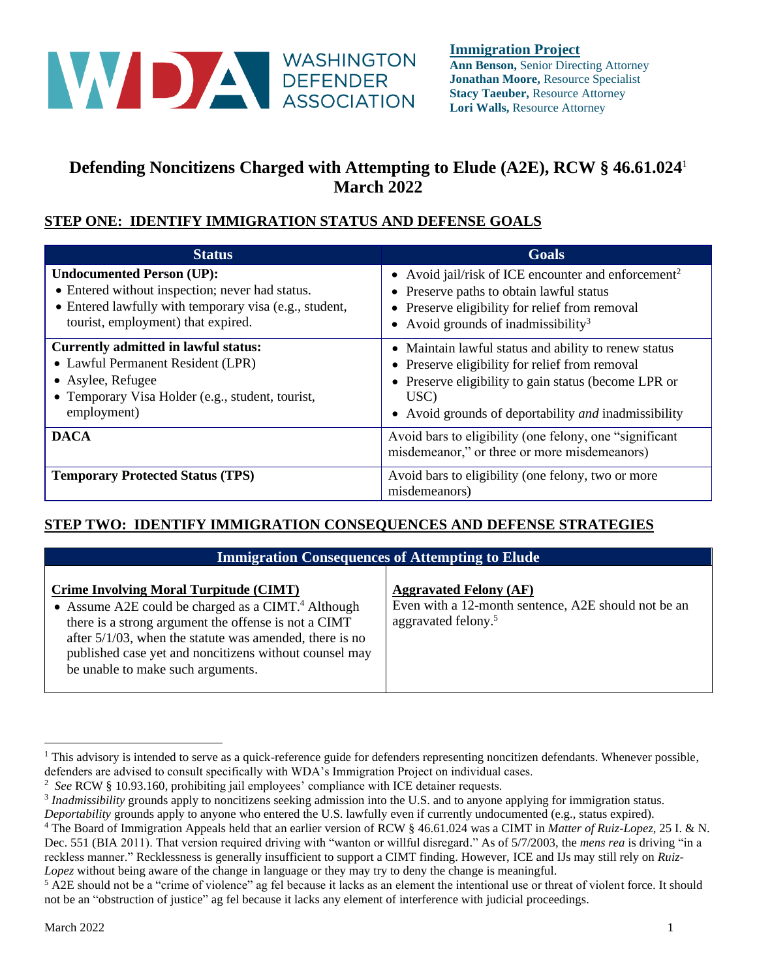

#### **Immigration Project**

**Ann Benson,** Senior Directing Attorney **Jonathan Moore,** Resource Specialist **Stacy Taeuber, Resource Attorney Lori Walls,** Resource Attorney

# **Defending Noncitizens Charged with Attempting to Elude (A2E), RCW § 46.61.024**<sup>1</sup> **March 2022**

# **STEP ONE: IDENTIFY IMMIGRATION STATUS AND DEFENSE GOALS**

| <b>Status</b>                                                                                                                                                                       | <b>Goals</b>                                                                                                                                                                                                                        |
|-------------------------------------------------------------------------------------------------------------------------------------------------------------------------------------|-------------------------------------------------------------------------------------------------------------------------------------------------------------------------------------------------------------------------------------|
| <b>Undocumented Person (UP):</b><br>• Entered without inspection; never had status.<br>• Entered lawfully with temporary visa (e.g., student,<br>tourist, employment) that expired. | • Avoid jail/risk of ICE encounter and enforcement <sup>2</sup><br>• Preserve paths to obtain lawful status<br>• Preserve eligibility for relief from removal<br>• Avoid grounds of inadmissibility <sup>3</sup>                    |
| <b>Currently admitted in lawful status:</b><br>• Lawful Permanent Resident (LPR)<br>• Asylee, Refugee<br>• Temporary Visa Holder (e.g., student, tourist,<br>employment)            | • Maintain lawful status and ability to renew status<br>• Preserve eligibility for relief from removal<br>• Preserve eligibility to gain status (become LPR or<br>USC)<br>Avoid grounds of deportability <i>and</i> inadmissibility |
| <b>DACA</b>                                                                                                                                                                         | Avoid bars to eligibility (one felony, one "significant"<br>misdemeanor," or three or more misdemeanors)                                                                                                                            |
| <b>Temporary Protected Status (TPS)</b>                                                                                                                                             | Avoid bars to eligibility (one felony, two or more<br>misdemeanors)                                                                                                                                                                 |

# **STEP TWO: IDENTIFY IMMIGRATION CONSEQUENCES AND DEFENSE STRATEGIES**

| <b>Immigration Consequences of Attempting to Elude</b>                                                                                                                                                                                                                                                                               |                                                                                                                         |  |
|--------------------------------------------------------------------------------------------------------------------------------------------------------------------------------------------------------------------------------------------------------------------------------------------------------------------------------------|-------------------------------------------------------------------------------------------------------------------------|--|
| <b>Crime Involving Moral Turpitude (CIMT)</b><br>• Assume A2E could be charged as a CIMT. <sup>4</sup> Although<br>there is a strong argument the offense is not a CIMT<br>after $5/1/03$ , when the statute was amended, there is no<br>published case yet and noncitizens without counsel may<br>be unable to make such arguments. | <b>Aggravated Felony (AF)</b><br>Even with a 12-month sentence, A2E should not be an<br>aggravated felony. <sup>5</sup> |  |

<sup>&</sup>lt;sup>1</sup> This advisory is intended to serve as a quick-reference guide for defenders representing noncitizen defendants. Whenever possible, defenders are advised to consult specifically with WDA's Immigration Project on individual cases.

<sup>2</sup> *See* RCW § 10.93.160, prohibiting jail employees' compliance with ICE detainer requests.

<sup>3</sup> *Inadmissibility* grounds apply to noncitizens seeking admission into the U.S. and to anyone applying for immigration status.

*Deportability* grounds apply to anyone who entered the U.S. lawfully even if currently undocumented (e.g., status expired).

<sup>4</sup> The Board of Immigration Appeals held that an earlier version of RCW § 46.61.024 was a CIMT in *Matter of Ruiz-Lopez,* 25 I. & N. Dec. 551 (BIA 2011). That version required driving with "wanton or willful disregard." As of 5/7/2003, the *mens rea* is driving "in a reckless manner." Recklessness is generally insufficient to support a CIMT finding. However, ICE and IJs may still rely on *Ruiz-Lopez* without being aware of the change in language or they may try to deny the change is meaningful.

 $5$  A2E should not be a "crime of violence" ag fel because it lacks as an element the intentional use or threat of violent force. It should not be an "obstruction of justice" ag fel because it lacks any element of interference with judicial proceedings.